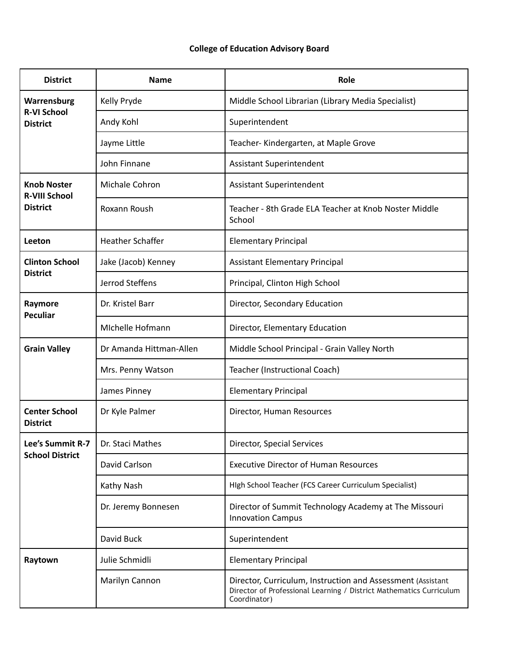## **College of Education Advisory Board**

| <b>District</b>                                               | <b>Name</b>             | Role                                                                                                                                               |
|---------------------------------------------------------------|-------------------------|----------------------------------------------------------------------------------------------------------------------------------------------------|
| Warrensburg<br><b>R-VI School</b><br><b>District</b>          | Kelly Pryde             | Middle School Librarian (Library Media Specialist)                                                                                                 |
|                                                               | Andy Kohl               | Superintendent                                                                                                                                     |
|                                                               | Jayme Little            | Teacher-Kindergarten, at Maple Grove                                                                                                               |
|                                                               | John Finnane            | Assistant Superintendent                                                                                                                           |
| <b>Knob Noster</b><br><b>R-VIII School</b><br><b>District</b> | Michale Cohron          | Assistant Superintendent                                                                                                                           |
|                                                               | Roxann Roush            | Teacher - 8th Grade ELA Teacher at Knob Noster Middle<br>School                                                                                    |
| Leeton                                                        | <b>Heather Schaffer</b> | <b>Elementary Principal</b>                                                                                                                        |
| <b>Clinton School</b><br><b>District</b>                      | Jake (Jacob) Kenney     | <b>Assistant Elementary Principal</b>                                                                                                              |
|                                                               | Jerrod Steffens         | Principal, Clinton High School                                                                                                                     |
| Raymore<br><b>Peculiar</b>                                    | Dr. Kristel Barr        | Director, Secondary Education                                                                                                                      |
|                                                               | Michelle Hofmann        | Director, Elementary Education                                                                                                                     |
| <b>Grain Valley</b>                                           | Dr Amanda Hittman-Allen | Middle School Principal - Grain Valley North                                                                                                       |
|                                                               | Mrs. Penny Watson       | Teacher (Instructional Coach)                                                                                                                      |
|                                                               | James Pinney            | <b>Elementary Principal</b>                                                                                                                        |
| <b>Center School</b><br><b>District</b>                       | Dr Kyle Palmer          | Director, Human Resources                                                                                                                          |
| Lee's Summit R-7<br><b>School District</b>                    | Dr. Staci Mathes        | Director, Special Services                                                                                                                         |
|                                                               | David Carlson           | <b>Executive Director of Human Resources</b>                                                                                                       |
|                                                               | Kathy Nash              | High School Teacher (FCS Career Curriculum Specialist)                                                                                             |
|                                                               | Dr. Jeremy Bonnesen     | Director of Summit Technology Academy at The Missouri<br><b>Innovation Campus</b>                                                                  |
|                                                               | David Buck              | Superintendent                                                                                                                                     |
| Raytown                                                       | Julie Schmidli          | <b>Elementary Principal</b>                                                                                                                        |
|                                                               | Marilyn Cannon          | Director, Curriculum, Instruction and Assessment (Assistant<br>Director of Professional Learning / District Mathematics Curriculum<br>Coordinator) |